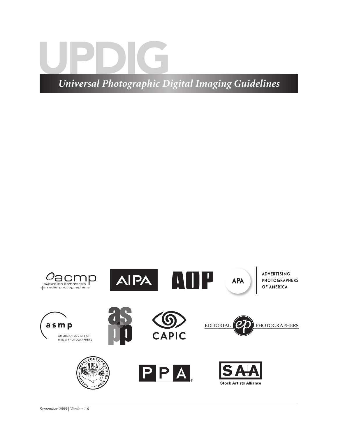

*Universal Photographic Digital Imaging Guidelines*

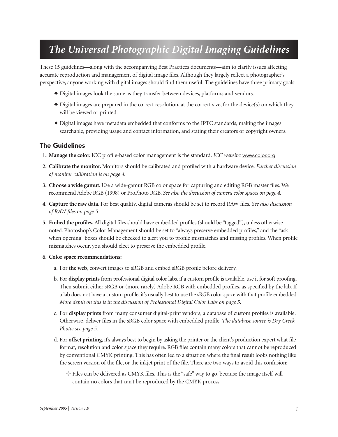# *The Universal Photographic Digital Imaging Guidelines*

These 15 guidelines—along with the accompanying Best Practices documents—aim to clarify issues affecting accurate reproduction and management of digital image files. Although they largely reflect a photographer's perspective, anyone working with digital images should find them useful. The guidelines have three primary goals:

- **✦** Digital images look the same as they transfer between devices, platforms and vendors.
- **✦** Digital images are prepared in the correct resolution, at the correct size, for the device(s) on which they will be viewed or printed.
- **✦** Digital images have metadata embedded that conforms to the IPTC standards, making the images searchable, providing usage and contact information, and stating their creators or copyright owners.

#### **The Guidelines**

- **1. Manage the color.** ICC profile-based color management is the standard. *ICC website:* www.color.org
- **2. Calibrate the monitor.** Monitors should be calibrated and profiled with a hardware device. *Further discussion of monitor calibration is on page 4.*
- **3. Choose a wide gamut.** Use a wide-gamut RGB color space for capturing and editing RGB master files. We recommend Adobe RGB (1998) or ProPhoto RGB. *See also the discussion of camera color spaces on page 4.*
- **4. Capture the raw data.** For best quality, digital cameras should be set to record RAW files. *See also discussion of RAW files on page 5.*
- **5. Embed the profiles.**All digital files should have embedded profiles (should be "tagged"), unless otherwise noted. Photoshop's Color Management should be set to "always preserve embedded profiles," and the "ask when opening" boxes should be checked to alert you to profile mismatches and missing profiles. When profile mismatches occur, you should elect to preserve the embedded profile.

#### **6. Color space recommendations:**

- a. For **the web**, convert images to sRGB and embed sRGB profile before delivery.
- b. For **display prints** from professional digital color labs, if a custom profile is available, use it for soft proofing. Then submit either sRGB or (more rarely) Adobe RGB with embedded profiles, as specified by the lab. If a lab does not have a custom profile, it's usually best to use the sRGB color space with that profile embedded. *More depth on this is in the discussion of Professional Digital Color Labs on page 5.*
- c. For **display prints** from many consumer digital-print vendors, a database of custom profiles is available. Otherwise, deliver files in the sRGB color space with embedded profile. *The database source is Dry Creek Photo; see page 5.*
- d. For **offset printing**, it's always best to begin by asking the printer or the client's production expert what file format, resolution and color space they require. RGB files contain many colors that cannot be reproduced by conventional CMYK printing. This has often led to a situation where the final result looks nothing like the screen version of the file, or the inkjet print of the file. There are two ways to avoid this confusion:
	- **✧** Files can be delivered as CMYK files. This is the "safe" way to go, because the image itself will contain no colors that can't be reproduced by the CMYK process.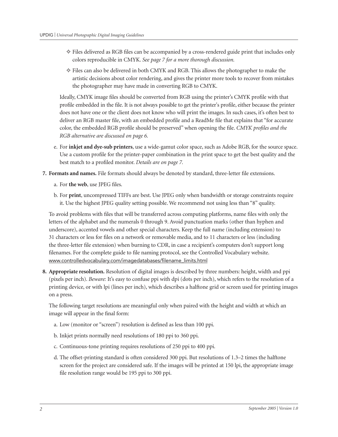- **✧** Files delivered as RGB files can be accompanied by a cross-rendered guide print that includes only colors reproducible in CMYK. *See page 7 for a more thorough discussion.*
- **✧** Files can also be delivered in both CMYK and RGB. This allows the photographer to make the artistic decisions about color rendering, and gives the printer more tools to recover from mistakes the photographer may have made in converting RGB to CMYK.

Ideally, CMYK image files should be converted from RGB using the printer's CMYK profile with that profile embedded in the file. It is not always possible to get the printer's profile, either because the printer does not have one or the client does not know who will print the images. In such cases, it's often best to deliver an RGB master file, with an embedded profile and a ReadMe file that explains that "for accurate color, the embedded RGB profile should be preserved" when opening the file. *CMYK profiles and the RGB alternative are discussed on page 6.*

- e. For **inkjet and dye-sub printers**, use a wide-gamut color space, such as Adobe RGB, for the source space. Use a custom profile for the printer-paper combination in the print space to get the best quality and the best match to a profiled monitor. *Details are on page 7.*
- **7. Formats and names.** File formats should always be denoted by standard, three-letter file extensions.
	- a. For **the web**, use JPEG files.
	- b. For **print**, uncompressed TIFFs are best. Use JPEG only when bandwidth or storage constraints require it. Use the highest JPEG quality setting possible. We recommend not using less than "8" quality.

To avoid problems with files that will be transferred across computing platforms, name files with only the letters of the alphabet and the numerals 0 through 9. Avoid punctuation marks (other than hyphen and underscore), accented vowels and other special characters. Keep the full name (including extension) to 31 characters or less for files on a network or removable media, and to 11 characters or less (including the three-letter file extension) when burning to CDR, in case a recipient's computers don't support long filenames. For the complete guide to file naming protocol, see the Controlled Vocabulary website. www.controlledvocabulary.com/imagedatabases/filename\_limits.html

**8. Appropriate resolution.** Resolution of digital images is described by three numbers: height, width and ppi (pixels per inch). *Beware:* It's easy to confuse ppi with dpi (dots per inch), which refers to the resolution of a printing device, or with lpi (lines per inch), which describes a halftone grid or screen used for printing images on a press.

The following target resolutions are meaningful only when paired with the height and width at which an image will appear in the final form:

- a. Low (monitor or "screen") resolution is defined as less than 100 ppi.
- b. Inkjet prints normally need resolutions of 180 ppi to 360 ppi.
- c. Continuous-tone printing requires resolutions of 250 ppi to 400 ppi.
- d. The offset-printing standard is often considered 300 ppi. But resolutions of 1.3–2 times the halftone screen for the project are considered safe. If the images will be printed at 150 lpi, the appropriate image file resolution range would be 195 ppi to 300 ppi.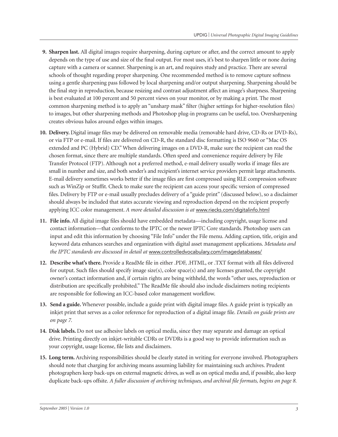- **9. Sharpen last.** All digital images require sharpening, during capture or after, and the correct amount to apply depends on the type of use and size of the final output. For most uses, it's best to sharpen little or none during capture with a camera or scanner. Sharpening is an art, and requires study and practice. There are several schools of thought regarding proper sharpening. One recommended method is to remove capture softness using a gentle sharpening pass followed by local sharpening and/or output sharpening. Sharpening should be the final step in reproduction, because resizing and contrast adjustment affect an image's sharpness. Sharpening is best evaluated at 100 percent and 50 percent views on your monitor, or by making a print. The most common sharpening method is to apply an "unsharp mask" filter (higher settings for higher-resolution files) to images, but other sharpening methods and Photoshop plug-in programs can be useful, too. Oversharpening creates obvious halos around edges within images.
- **10. Delivery.** Digital image files may be delivered on removable media (removable hard drive, CD-Rs or DVD-Rs), or via FTP or e-mail. If files are delivered on CD-R, the standard disc formatting is ISO 9660 or "Mac OS extended and PC (Hybrid) CD." When delivering images on a DVD-R, make sure the recipient can read the chosen format, since there are multiple standards. Often speed and convenience require delivery by File Transfer Protocol (FTP). Although not a preferred method, e-mail delivery usually works if image files are small in number and size, and both sender's and recipient's internet service providers permit large attachments. E-mail delivery sometimes works better if the image files are first compressed using RLE compression software such as WinZip or Stuffit. Check to make sure the recipient can access your specific version of compressed files. Delivery by FTP or e-mail usually precludes delivery of a "guide print" (discussed below), so a disclaimer should always be included that states accurate viewing and reproduction depend on the recipient properly applying ICC color management. *A more detailed discussion is at* www.riecks.com/digitalinfo.html
- **11. File info.** All digital image files should have embedded metadata—including copyright, usage license and contact information—that conforms to the IPTC or the newer IPTC Core standards. Photoshop users can input and edit this information by choosing "File Info" under the File menu. Adding caption, title, origin and keyword data enhances searches and organization with digital asset management applications. *Metadata and the IPTC standards are discussed in detail at* www.controlledvocabulary.com/imagedatabases/
- **12. Describe what's there.** Provide a ReadMe file in either .PDF, .HTML, or .TXT format with all files delivered for output. Such files should specify image  $size(s)$ , color space(s) and any licenses granted, the copyright owner's contact information and, if certain rights are being withheld, the words "other uses, reproduction or distribution are specifically prohibited." The ReadMe file should also include disclaimers noting recipients are responsible for following an ICC-based color management workflow.
- **13. Send a guide.** Whenever possible, include a guide print with digital image files. A guide print is typically an inkjet print that serves as a color reference for reproduction of a digital image file. *Details on guide prints are on page 7.*
- **14. Disk labels.** Do not use adhesive labels on optical media, since they may separate and damage an optical drive. Printing directly on inkjet-writable CDRs or DVDRs is a good way to provide information such as your copyright, usage license, file lists and disclaimers.
- **15. Long term.** Archiving responsibilities should be clearly stated in writing for everyone involved. Photographers should note that charging for archiving means assuming liability for maintaining such archives. Prudent photographers keep back-ups on external magnetic drives, as well as on optical media and, if possible, also keep duplicate back-ups offsite. *A fuller discussion of archiving techniques, and archival file formats, begins on page 8.*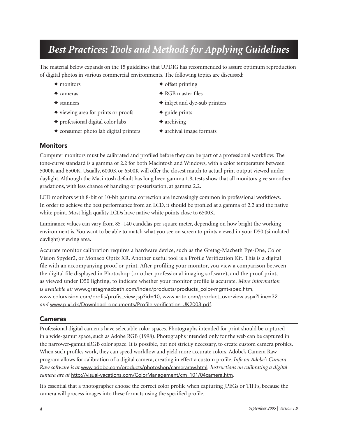# *Best Practices: Tools and Methods for Applying Guidelines*

The material below expands on the 15 guidelines that UPDIG has recommended to assure optimum reproduction of digital photos in various commercial environments. The following topics are discussed:

- 
- 
- 
- **✦** viewing area for prints or proofs **✦** guide prints
- **✦** professional digital color labs **✦** archiving
- **✦** consumer photo lab digital printers **✦** archival image formats
- **✦** monitors **✦** offset printing
- **✦** cameras **✦** RGB master files
- **✦** scanners **✦** inkjet and dye-sub printers
	-
	-
	-

#### **Monitors**

Computer monitors must be calibrated and profiled before they can be part of a professional workflow. The tone-curve standard is a gamma of 2.2 for both Macintosh and Windows, with a color temperature between 5000K and 6500K. Usually, 6000K or 6500K will offer the closest match to actual print output viewed under daylight. Although the Macintosh default has long been gamma 1.8, tests show that all monitors give smoother gradations, with less chance of banding or posterization, at gamma 2.2.

LCD monitors with 8-bit or 10-bit gamma correction are increasingly common in professional workflows. In order to achieve the best performance from an LCD, it should be profiled at a gamma of 2.2 and the native white point. Most high quality LCDs have native white points close to 6500K.

Luminance values can vary from 85–140 candelas per square meter, depending on how bright the working environment is. You want to be able to match what you see on screen to prints viewed in your D50 (simulated daylight) viewing area.

Accurate monitor calibration requires a hardware device, such as the Gretag-Macbeth Eye-One, Color Vision Spyder2, or Monaco Optix XR. Another useful tool is a Profile Verification Kit. This is a digital file with an accompanying proof or print. After profiling your monitor, you view a comparison between the digital file displayed in Photoshop (or other professional imaging software), and the proof print, as viewed under D50 lighting, to indicate whether your monitor profile is accurate. *More information is available at: www.gretagmacbeth.com/index/products/products\_color-mgmt-spec.htm,* www.colorvision.com/profis/profis\_view.jsp?id=10, www.xrite.com/product\_overview.aspx?Line=32 *and* www.pixl.dk/Download\_documents/Profile verification UK2003.pdf.

#### **Cameras**

Professional digital cameras have selectable color spaces. Photographs intended for print should be captured in a wide-gamut space, such as Adobe RGB (1998). Photographs intended only for the web can be captured in the narrower-gamut sRGB color space. It is possible, but not strictly necessary, to create custom camera profiles. When such profiles work, they can speed workflow and yield more accurate colors. Adobe's Camera Raw program allows for calibration of a digital camera, creating in effect a custom profile. *Info on Adobe's Camera Raw software is at* www.adobe.com/products/photoshop/cameraraw.html*. Instructions on calibrating a digital camera are at* http://visual-vacations.com/ColorManagement/cm\_101/04camera.htm*.*

It's essential that a photographer choose the correct color profile when capturing JPEGs or TIFFs, because the camera will process images into these formats using the specified profile.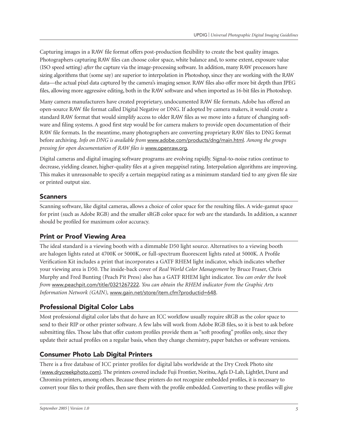Capturing images in a RAW file format offers post-production flexibility to create the best quality images. Photographers capturing RAW files can choose color space, white balance and, to some extent, exposure value (ISO speed setting) *after* the capture via the image-processing software. In addition, many RAW processors have sizing algorithms that (some say) are superior to interpolation in Photoshop, since they are working with the RAW data—the actual pixel data captured by the camera's imaging sensor. RAW files also offer more bit depth than JPEG files, allowing more aggressive editing, both in the RAW software and when imported as 16-bit files in Photoshop.

Many camera manufacturers have created proprietary, undocumented RAW file formats. Adobe has offered an open-source RAW file format called Digital Negative or DNG. If adopted by camera makers, it would create a standard RAW format that would simplify access to older RAW files as we move into a future of changing software and filing systems. A good first step would be for camera makers to provide open documentation of their RAW file formats. In the meantime, many photographers are converting proprietary RAW files to DNG format before archiving. *Info on DNG is available from* www.adobe.com/products/dng/main.html*. Among the groups pressing for open documentation of RAW files is* www.openraw.org*.*

Digital cameras and digital imaging software programs are evolving rapidly. Signal-to-noise ratios continue to decrease, yielding cleaner, higher-quality files at a given megapixel rating. Interpolation algorithms are improving. This makes it unreasonable to specify a certain megapixel rating as a minimum standard tied to any given file size or printed output size.

# **Scanners**

Scanning software, like digital cameras, allows a choice of color space for the resulting files. A wide-gamut space for print (such as Adobe RGB) and the smaller sRGB color space for web are the standards. In addition, a scanner should be profiled for maximum color accuracy.

# **Print or Proof Viewing Area**

The ideal standard is a viewing booth with a dimmable D50 light source. Alternatives to a viewing booth are halogen lights rated at 4700K or 5000K, or full-spectrum fluorescent lights rated at 5000K. A Profile Verification Kit includes a print that incorporates a GATF RHEM light indicator, which indicates whether your viewing area is D50. The inside-back cover of *Real World Color Management* by Bruce Fraser, Chris Murphy and Fred Bunting (Peach Pit Press) also has a GATF RHEM light indicator. *You can order the book from* www.peachpit.com/title/0321267222. *You can obtain the RHEM indicator from the Graphic Arts Information Network (GAIN),* www.gain.net/store/item.cfm?productid=648.

# **Professional Digital Color Labs**

Most professional digital color labs that do have an ICC workflow usually require sRGB as the color space to send to their RIP or other printer software. A few labs will work from Adobe RGB files, so it is best to ask before submitting files. Those labs that offer custom profiles provide them as "soft proofing" profiles only, since they update their actual profiles on a regular basis, when they change chemistry, paper batches or software versions.

#### **Consumer Photo Lab Digital Printers**

There is a free database of ICC printer profiles for digital labs worldwide at the Dry Creek Photo site (www.drycreekphoto.com). The printers covered include Fuji Frontier, Noritsu, Agfa D-Lab, LightJet, Durst and Chromira printers, among others. Because these printers do not recognize embedded profiles, it is necessary to convert your files to their profiles, then save them with the profile embedded. Converting to these profiles will give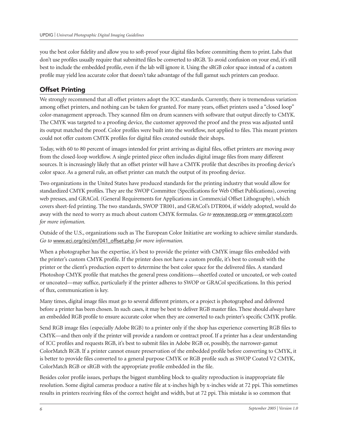you the best color fidelity and allow you to soft-proof your digital files before committing them to print. Labs that don't use profiles usually require that submitted files be converted to sRGB. To avoid confusion on your end, it's still best to include the embedded profile, even if the lab will ignore it. Using the sRGB color space instead of a custom profile may yield less accurate color that doesn't take advantage of the full gamut such printers can produce.

#### **Offset Printing**

We strongly recommend that all offset printers adopt the ICC standards. Currently, there is tremendous variation among offset printers, and nothing can be taken for granted. For many years, offset printers used a "closed loop" color-management approach. They scanned film on drum scanners with software that output directly to CMYK. The CMYK was targeted to a proofing device, the customer approved the proof and the press was adjusted until its output matched the proof. Color profiles were built into the workflow, not applied to files. This meant printers could not offer custom CMYK profiles for digital files created outside their shops.

Today, with 60 to 80 percent of images intended for print arriving as digital files, offset printers are moving away from the closed-loop workflow. A single printed piece often includes digital image files from many different sources. It is increasingly likely that an offset printer will have a CMYK profile that describes its proofing device's color space. As a general rule, an offset printer can match the output of its proofing device.

Two organizations in the United States have produced standards for the printing industry that would allow for standardized CMYK profiles. They are the SWOP Committee (Specifications for Web Offset Publications), covering web presses, and GRACoL (General Requirements for Applications in Commercial Offset Lithography), which covers sheet-fed printing. The two standards, SWOP TR001, and GRACol's DTR004, if widely adopted, would do away with the need to worry as much about custom CMYK formulas. *Go to* www.swop.org *or* www.gracol.com *for more infomation.*

Outside of the U.S., organizations such as The European Color Initiative are working to achieve similar standards. *Go to* www.eci.org/eci/en/041\_offset.php *for more information.*

When a photographer has the expertise, it's best to provide the printer with CMYK image files embedded with the printer's custom CMYK profile. If the printer does not have a custom profile, it's best to consult with the printer or the client's production expert to determine the best color space for the delivered files. A standard Photoshop CMYK profile that matches the general press conditions—sheetfed coated or uncoated, or web coated or uncoated—may suffice, particularly if the printer adheres to SWOP or GRACol specifications. In this period of flux, communication is key.

Many times, digital image files must go to several different printers, or a project is photographed and delivered before a printer has been chosen. In such cases, it may be best to deliver RGB master files. These should *always* have an embedded RGB profile to ensure accurate color when they are converted to each printer's specific CMYK profile.

Send RGB image files (especially Adobe RGB) to a printer only if the shop has experience converting RGB files to CMYK—and then only if the printer will provide a random or contract proof. If a printer has a clear understanding of ICC profiles and requests RGB, it's best to submit files in Adobe RGB or, possibly, the narrower-gamut ColorMatch RGB. If a printer cannot ensure preservation of the embedded profile before converting to CMYK, it is better to provide files converted to a general purpose CMYK or RGB profile such as SWOP Coated V2 CMYK, ColorMatch RGB or sRGB with the appropriate profile embedded in the file.

Besides color profile issues, perhaps the biggest stumbling block to quality reproduction is inappropriate file resolution. Some digital cameras produce a native file at x-inches high by x-inches wide at 72 ppi. This sometimes results in printers receiving files of the correct height and width, but at 72 ppi. This mistake is so common that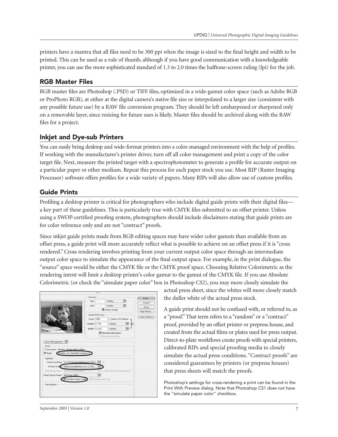printers have a mantra that all files need to be 300 ppi when the image is sized to the final height and width to be printed. This can be used as a rule of thumb, although if you have good communication with a knowledgeable printer, you can use the more sophisticated standard of 1.3 to 2.0 times the halftone-screen ruling (lpi) for the job.

#### **RGB Master Files**

RGB master files are Photoshop (.PSD) or TIFF files, optimized in a wide-gamut color space (such as Adobe RGB or ProPhoto RGB), at either at the digital camera's native file size or interpolated to a larger size (consistent with any possible future use) by a RAW file conversion program. They should be left unsharpened or sharpened only on a removable layer, since resizing for future uses is likely. Master files should be archived along with the RAW files for a project.

#### **Inkjet and Dye-sub Printers**

You can easily bring desktop and wide-format printers into a color-managed environment with the help of profiles. If working with the manufacturer's printer driver, turn off all color management and print a copy of the color target file. Next, measure the printed target with a spectrophotometer to generate a profile for accurate output on a particular paper or other medium. Repeat this process for each paper stock you use. Most RIP (Raster Imaging Processor) software offers profiles for a wide variety of papers. Many RIPs will also allow use of custom profiles.

#### **Guide Prints**

Profiling a desktop printer is critical for photographers who include digital guide prints with their digital files a key part of these guidelines. This is particularly true with CMYK files submitted to an offset printer. Unless using a SWOP-certified proofing system, photographers should include disclaimers stating that guide prints are for color reference only and are not "contract" proofs.

Since inkjet guide prints made from RGB editing spaces may have wider color gamuts than available from an offset press, a guide print will more accurately reflect what is possible to achieve on an offset press if it is "cross rendered." Cross rendering involves printing from your current output color space through an intermediate output color space to simulate the appearance of the final output space. For example, in the print dialogue, the "source" space would be either the CMYK file or the CMYK proof space. Choosing Relative Colorimetric as the rendering intent will limit a desktop printer's color gamut to the gamut of the CMYK file. If you use Absolute Colorimetric (or check the "simulate paper color" box in Photoshop CS2), you may more closely simulate the



actual press sheet, since the whites will more closely match the duller white of the actual press stock.

A guide print should not be confused with, or referred to, as a "proof." That term refers to a "random" or a "contract" proof, provided by an offset printer or prepress house, and created from the actual films or plates used for press output. Direct-to-plate workflows create proofs with special printers, calibrated RIPs and special proofing media to closely simulate the actual press conditions. "Contract proofs" are considered guarantees by printers (or prepress houses) that press sheets will match the proofs.

Photoshop's settings for cross-rendering a print can be found in the Print With Preview dialog. Note that Photoshop CS1 does not have the "simulate paper color" checkbox.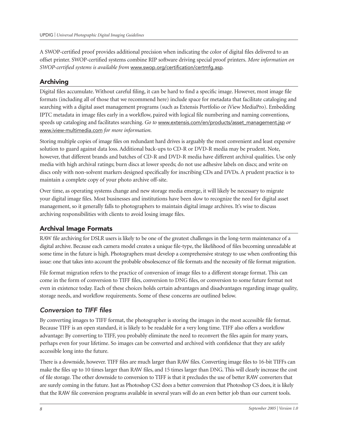A SWOP-certified proof provides additional precision when indicating the color of digital files delivered to an offset printer. SWOP-certified systems combine RIP software driving special proof printers. *More information on SWOP-certified systems is available from* www.swop.org/certification/certmfg.asp*.*

#### **Archiving**

Digital files accumulate. Without careful filing, it can be hard to find a specific image. However, most image file formats (including all of those that we recommend here) include space for metadata that facilitate cataloging and searching with a digital asset management programs (such as Extensis Portfolio or iView MediaPro). Embedding IPTC metadata in image files early in a workflow, paired with logical file numbering and naming conventions, speeds up cataloging and facilitates searching. *Go to* www.extensis.com/en/products/asset\_management.jsp *or* www.iview-multimedia.com *for more information.*

Storing multiple copies of image files on redundant hard drives is arguably the most convenient and least expensive solution to guard against data loss. Additional back-ups to CD-R or DVD-R media may be prudent. Note, however, that different brands and batches of CD-R and DVD-R media have different archival qualities. Use only media with high archival ratings; burn discs at lower speeds; do not use adhesive labels on discs; and write on discs only with non-solvent markers designed specifically for inscribing CDs and DVDs. A prudent practice is to maintain a complete copy of your photo archive off-site.

Over time, as operating systems change and new storage media emerge, it will likely be necessary to migrate your digital image files. Most businesses and institutions have been slow to recognize the need for digital asset management, so it generally falls to photographers to maintain digital image archives. It's wise to discuss archiving responsibilities with clients to avoid losing image files.

# **Archival Image Formats**

RAW file archiving for DSLR users is likely to be one of the greatest challenges in the long-term maintenance of a digital archive. Because each camera model creates a unique file-type, the likelihood of files becoming unreadable at some time in the future is high. Photographers must develop a comprehensive strategy to use when confronting this issue: one that takes into account the probable obsolescence of file formats and the necessity of file format migration.

File format migration refers to the practice of conversion of image files to a different storage format. This can come in the form of conversion to TIFF files, conversion to DNG files, or conversion to some future format not even in existence today. Each of these choices holds certain advantages and disadvantages regarding image quality, storage needs, and workflow requirements. Some of these concerns are outlined below.

# *Conversion to TIFF files*

By converting images to TIFF format, the photographer is storing the images in the most accessible file format. Because TIFF is an open standard, it is likely to be readable for a very long time. TIFF also offers a workflow advantage: By converting to TIFF, you probably eliminate the need to reconvert the files again for many years, perhaps even for your lifetime. So images can be converted and archived with confidence that they are safely accessible long into the future.

There is a downside, however. TIFF files are much larger than RAW files. Converting image files to 16-bit TIFFs can make the files up to 10 times larger than RAW files, and 15 times larger than DNG. This will clearly increase the cost of file storage. The other downside to conversion to TIFF is that it precludes the use of better RAW converters that are surely coming in the future. Just as Photoshop CS2 does a better conversion that Photoshop CS does, it is likely that the RAW file conversion programs available in several years will do an even better job than our current tools.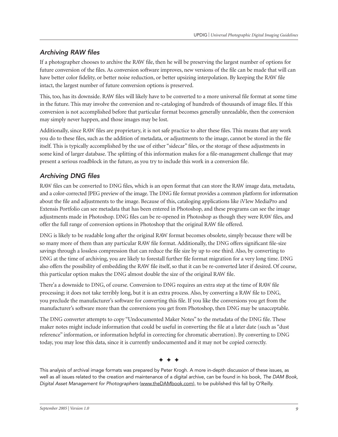# *Archiving RAW files*

If a photographer chooses to archive the RAW file, then he will be preserving the largest number of options for future conversion of the files. As conversion software improves, new versions of the file can be made that will can have better color fidelity, or better noise reduction, or better upsizing interpolation. By keeping the RAW file intact, the largest number of future conversion options is preserved.

This, too, has its downside. RAW files will likely have to be converted to a more universal file format at some time in the future. This may involve the conversion and re-cataloging of hundreds of thousands of image files. If this conversion is not accomplished before that particular format becomes generally unreadable, then the conversion may simply never happen, and those images may be lost.

Additionally, since RAW files are proprietary, it is not safe practice to alter these files. This means that any work you do to these files, such as the addition of metadata, or adjustments to the image, cannot be stored in the file itself. This is typically accomplished by the use of either "sidecar" files, or the storage of these adjustments in some kind of larger database. The splitting of this information makes for a file-management challenge that may present a serious roadblock in the future, as you try to include this work in a conversion file.

# *Archiving DNG files*

RAW files can be converted to DNG files, which is an open format that can store the RAW image data, metadata, and a color-corrected JPEG preview of the image. The DNG file format provides a common platform for information about the file and adjustments to the image. Because of this, cataloging applications like iVIew MediaPro and Extensis Portfolio can see metadata that has been entered in Photoshop, and these programs can see the image adjustments made in Photoshop. DNG files can be re-opened in Photoshop as though they were RAW files, and offer the full range of conversion options in Photoshop that the original RAW file offered.

DNG is likely to be readable long after the original RAW format becomes obsolete, simply because there will be so many more of them than any particular RAW file format. Additionally, the DNG offers significant file-size savings through a lossless compression that can reduce the file size by up to one third. Also, by converting to DNG at the time of archiving, you are likely to forestall further file format migration for a very long time. DNG also offers the possibility of embedding the RAW file itself, so that it can be re-converted later if desired. Of course, this particular option makes the DNG almost double the size of the original RAW file.

There'a a downside to DNG, of course. Conversion to DNG requires an extra step at the time of RAW file processing; it does not take terribly long, but it is an extra process. Also, by converting a RAW file to DNG, you preclude the manufacturer's software for converting this file. If you like the conversions you get from the manufacturer's software more than the conversions you get from Photoshop, then DNG may be unacceptable.

The DNG converter attempts to copy "Undocumented Maker Notes" to the metadata of the DNG file. These maker notes might include information that could be useful in converting the file at a later date (such as "dust reference" information, or information helpful in correcting for chromatic aberration). By converting to DNG today, you may lose this data, since it is currently undocumented and it may not be copied correctly.

**✦ ✦ ✦**

This analysis of archival image formats was prepared by Peter Krogh. A more in-depth discussion of these issues, as well as all issues related to the creation and maintenance of a digital archive, can be found in his book, *The DAM Book, Digital Asset Management for Photographers* (www.theDAMbook.com), to be published this fall by O'Reilly.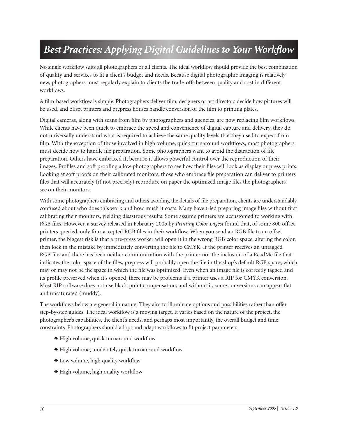# *Best Practices: Applying Digital Guidelines to Your Workflow*

No single workflow suits all photographers or all clients. The ideal workflow should provide the best combination of quality and services to fit a client's budget and needs. Because digital photographic imaging is relatively new, photographers must regularly explain to clients the trade-offs between quality and cost in different workflows.

A film-based workflow is simple. Photographers deliver film, designers or art directors decide how pictures will be used, and offset printers and prepress houses handle conversion of the film to printing plates.

Digital cameras, along with scans from film by photographers and agencies, are now replacing film workflows. While clients have been quick to embrace the speed and convenience of digital capture and delivery, they do not universally understand what is required to achieve the same quality levels that they used to expect from film. With the exception of those involved in high-volume, quick-turnaround workflows, most photographers must decide how to handle file preparation. Some photographers want to avoid the distraction of file preparation. Others have embraced it, because it allows powerful control over the reproduction of their images. Profiles and soft proofing allow photographers to see how their files will look as display or press prints. Looking at soft proofs on their calibrated monitors, those who embrace file preparation can deliver to printers files that will accurately (if not precisely) reproduce on paper the optimized image files the photographers see on their monitors.

With some photographers embracing and others avoiding the details of file preparation, clients are understandably confused about who does this work and how much it costs. Many have tried preparing image files without first calibrating their monitors, yielding disastrous results. Some assume printers are accustomed to working with RGB files. However, a survey released in February 2005 by *Printing Color Digest* found that, of some 800 offset printers queried, only four accepted RGB files in their workflow. When you send an RGB file to an offset printer, the biggest risk is that a pre-press worker will open it in the wrong RGB color space, altering the color, then lock in the mistake by immediately converting the file to CMYK. If the printer receives an untagged RGB file, and there has been neither communication with the printer nor the inclusion of a ReadMe file that indicates the color space of the files, prepress will probably open the file in the shop's default RGB space, which may or may not be the space in which the file was optimized. Even when an image file is correctly tagged and its profile preserved when it's opened, there may be problems if a printer uses a RIP for CMYK conversion. Most RIP software does not use black-point compensation, and without it, some conversions can appear flat and unsaturated (muddy).

The workflows below are general in nature. They aim to illuminate options and possibilities rather than offer step-by-step guides. The ideal workflow is a moving target. It varies based on the nature of the project, the photographer's capabilities, the client's needs, and perhaps most importantly, the overall budget and time constraints. Photographers should adopt and adapt workflows to fit project parameters.

- **✦** High volume, quick turnaround workflow
- **✦** High volume, moderately quick turnaround workflow
- **✦** Low volume, high quality workflow
- **✦** High volume, high quality workflow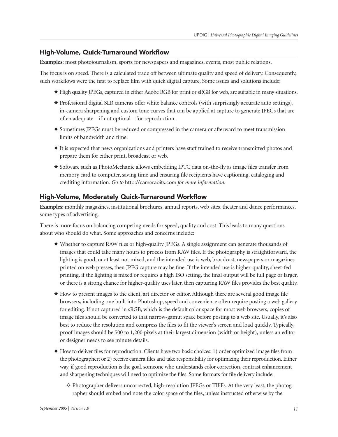#### **High-Volume, Quick-Turnaround Workflow**

**Examples:** most photojournalism, sports for newspapers and magazines, events, most public relations.

The focus is on speed. There is a calculated trade off between ultimate quality and speed of delivery. Consequently, such workflows were the first to replace film with quick digital capture. Some issues and solutions include:

- **✦** High quality JPEGs, captured in either Adobe RGB for print or sRGB for web, are suitable in many situations.
- **✦** Professional digital SLR cameras offer white balance controls (with surprisingly accurate auto settings), in-camera sharpening and custom tone curves that can be applied at capture to generate JPEGs that are often adequate—if not optimal—for reproduction.
- **✦** Sometimes JPEGs must be reduced or compressed in the camera or afterward to meet transmission limits of bandwidth and time.
- **✦** It is expected that news organizations and printers have staff trained to receive transmitted photos and prepare them for either print, broadcast or web.
- **✦** Software such as PhotoMechanic allows embedding IPTC data on-the-fly as image files transfer from memory card to computer, saving time and ensuring file recipients have captioning, cataloging and crediting information. *Go to* http://camerabits.com *for more information.*

#### **High-Volume, Moderately Quick-Turnaround Workflow**

**Examples:** monthly magazines, institutional brochures, annual reports, web sites, theater and dance performances, some types of advertising.

There is more focus on balancing competing needs for speed, quality and cost. This leads to many questions about who should do what. Some approaches and concerns include:

- **✦** Whether to capture RAW files or high-quality JPEGs. A single assignment can generate thousands of images that could take many hours to process from RAW files. If the photography is straightforward, the lighting is good, or at least not mixed, and the intended use is web, broadcast, newspapers or magazines printed on web presses, then JPEG capture may be fine. If the intended use is higher-quality, sheet-fed printing, if the lighting is mixed or requires a high ISO setting, the final output will be full page or larger, or there is a strong chance for higher-quality uses later, then capturing RAW files provides the best quality.
- **✦** How to present images to the client, art director or editor. Although there are several good image file browsers, including one built into Photoshop, speed and convenience often require posting a web gallery for editing. If not captured in sRGB, which is the default color space for most web browsers, copies of image files should be converted to that narrow-gamut space before posting to a web site. Usually, it's also best to reduce the resolution and compress the files to fit the viewer's screen and load quickly. Typically, proof images should be 500 to 1,200 pixels at their largest dimension (width or height), unless an editor or designer needs to see minute details.
- **✦** How to deliver files for reproduction. Clients have two basic choices: 1) order optimized image files from the photographer; or 2) receive camera files and take responsibility for optimizing their reproduction. Either way, if good reproduction is the goal, someone who understands color correction, contrast enhancement and sharpening techniques will need to optimize the files. Some formats for file delivery include:
	- **✧** Photographer delivers uncorrected, high-resolution JPEGs or TIFFs. At the very least, the photographer should embed and note the color space of the files, unless instructed otherwise by the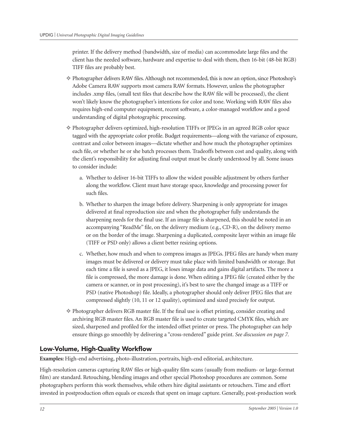printer. If the delivery method (bandwidth, size of media) can accommodate large files and the client has the needed software, hardware and expertise to deal with them, then 16-bit (48-bit RGB) TIFF files are probably best.

- **✧** Photographer delivers RAW files. Although not recommended, this is now an option, since Photoshop's Adobe Camera RAW supports most camera RAW formats. However, unless the photographer includes .xmp files, (small text files that describe how the RAW file will be processed), the client won't likely know the photographer's intentions for color and tone. Working with RAW files also requires high-end computer equipment, recent software, a color-managed workflow and a good understanding of digital photographic processing.
- **✧** Photographer delivers optimized, high-resolution TIFFs or JPEGs in an agreed RGB color space tagged with the appropriate color profile. Budget requirements—along with the variance of exposure, contrast and color between images—dictate whether and how much the photographer optimizes each file, or whether he or she batch processes them. Tradeoffs between cost and quality, along with the client's responsibility for adjusting final output must be clearly understood by all. Some issues to consider include:
	- a. Whether to deliver 16-bit TIFFs to allow the widest possible adjustment by others further along the workflow. Client must have storage space, knowledge and processing power for such files.
	- b. Whether to sharpen the image before delivery. Sharpening is only appropriate for images delivered at final reproduction size and when the photographer fully understands the sharpening needs for the final use. If an image file is sharpened, this should be noted in an accompanying "ReadMe" file, on the delivery medium (e.g., CD-R), on the delivery memo or on the border of the image. Sharpening a duplicated, composite layer within an image file (TIFF or PSD only) allows a client better resizing options.
	- c. Whether, how much and when to compress images as JPEGs. JPEG files are handy when many images must be delivered or delivery must take place with limited bandwidth or storage. But each time a file is saved as a JPEG, it loses image data and gains digital artifacts. The more a file is compressed, the more damage is done. When editing a JPEG file (created either by the camera or scanner, or in post processing), it's best to save the changed image as a TIFF or PSD (native Photoshop) file. Ideally, a photographer should only deliver JPEG files that are compressed slightly (10, 11 or 12 quality), optimized and sized precisely for output.
- **✧** Photographer delivers RGB master file. If the final use is offset printing, consider creating and archiving RGB master files. An RGB master file is used to create targeted CMYK files, which are sized, sharpened and profiled for the intended offset printer or press. The photographer can help ensure things go smoothly by delivering a "cross-rendered" guide print. *See discussion on page 7.*

#### **Low-Volume, High-Quality Workflow**

**Examples:** High-end advertising, photo-illustration, portraits, high-end editorial, architecture.

High-resolution cameras capturing RAW files or high-quality film scans (usually from medium- or large-format film) are standard. Retouching, blending images and other special Photoshop procedures are common. Some photographers perform this work themselves, while others hire digital assistants or retouchers. Time and effort invested in postproduction often equals or exceeds that spent on image capture. Generally, post-production work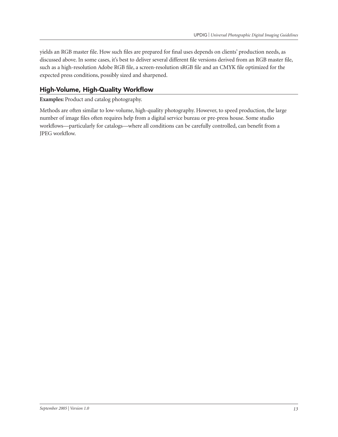yields an RGB master file. How such files are prepared for final uses depends on clients' production needs, as discussed above. In some cases, it's best to deliver several different file versions derived from an RGB master file, such as a high-resolution Adobe RGB file, a screen-resolution sRGB file and an CMYK file optimized for the expected press conditions, possibly sized and sharpened.

#### **High-Volume, High-Quality Workflow**

**Examples:** Product and catalog photography.

Methods are often similar to low-volume, high-quality photography. However, to speed production, the large number of image files often requires help from a digital service bureau or pre-press house. Some studio workflows—particularly for catalogs—where all conditions can be carefully controlled, can benefit from a JPEG workflow.